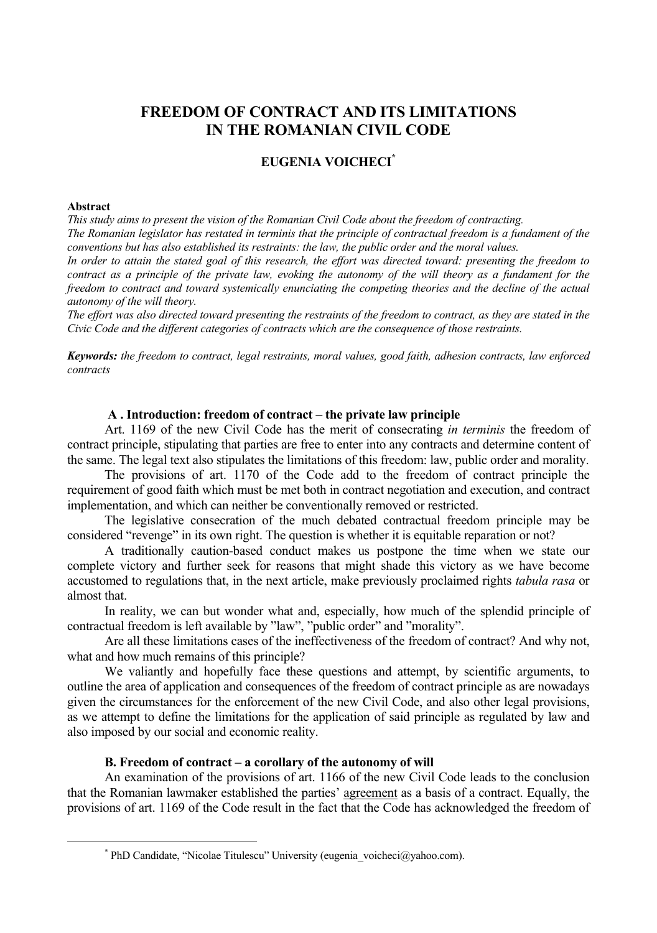# **FREEDOM OF CONTRACT AND ITS LIMITATIONS IN THE ROMANIAN CIVIL CODE**

## **EUGENIA VOICHECI\***

#### **Abstract**

*This study aims to present the vision of the Romanian Civil Code about the freedom of contracting. The Romanian legislator has restated in terminis that the principle of contractual freedom is a fundament of the conventions but has also established its restraints: the law, the public order and the moral values.* 

*In order to attain the stated goal of this research, the effort was directed toward: presenting the freedom to contract as a principle of the private law, evoking the autonomy of the will theory as a fundament for the freedom to contract and toward systemically enunciating the competing theories and the decline of the actual autonomy of the will theory.* 

*The effort was also directed toward presenting the restraints of the freedom to contract, as they are stated in the Civic Code and the different categories of contracts which are the consequence of those restraints.* 

*Keywords: the freedom to contract, legal restraints, moral values, good faith, adhesion contracts, law enforced contracts* 

#### **A . Introduction: freedom of contract – the private law principle**

Art. 1169 of the new Civil Code has the merit of consecrating *in terminis* the freedom of contract principle, stipulating that parties are free to enter into any contracts and determine content of the same. The legal text also stipulates the limitations of this freedom: law, public order and morality.

The provisions of art. 1170 of the Code add to the freedom of contract principle the requirement of good faith which must be met both in contract negotiation and execution, and contract implementation, and which can neither be conventionally removed or restricted.

The legislative consecration of the much debated contractual freedom principle may be considered "revenge" in its own right. The question is whether it is equitable reparation or not?

A traditionally caution-based conduct makes us postpone the time when we state our complete victory and further seek for reasons that might shade this victory as we have become accustomed to regulations that, in the next article, make previously proclaimed rights *tabula rasa* or almost that.

In reality, we can but wonder what and, especially, how much of the splendid principle of contractual freedom is left available by "law", "public order" and "morality".

Are all these limitations cases of the ineffectiveness of the freedom of contract? And why not, what and how much remains of this principle?

We valiantly and hopefully face these questions and attempt, by scientific arguments, to outline the area of application and consequences of the freedom of contract principle as are nowadays given the circumstances for the enforcement of the new Civil Code, and also other legal provisions, as we attempt to define the limitations for the application of said principle as regulated by law and also imposed by our social and economic reality.

## **B. Freedom of contract – a corollary of the autonomy of will**

An examination of the provisions of art. 1166 of the new Civil Code leads to the conclusion that the Romanian lawmaker established the parties' agreement as a basis of a contract. Equally, the provisions of art. 1169 of the Code result in the fact that the Code has acknowledged the freedom of

 <sup>\*</sup>  $*$  PhD Candidate, "Nicolae Titulescu" University (eugenia\_voicheci@yahoo.com).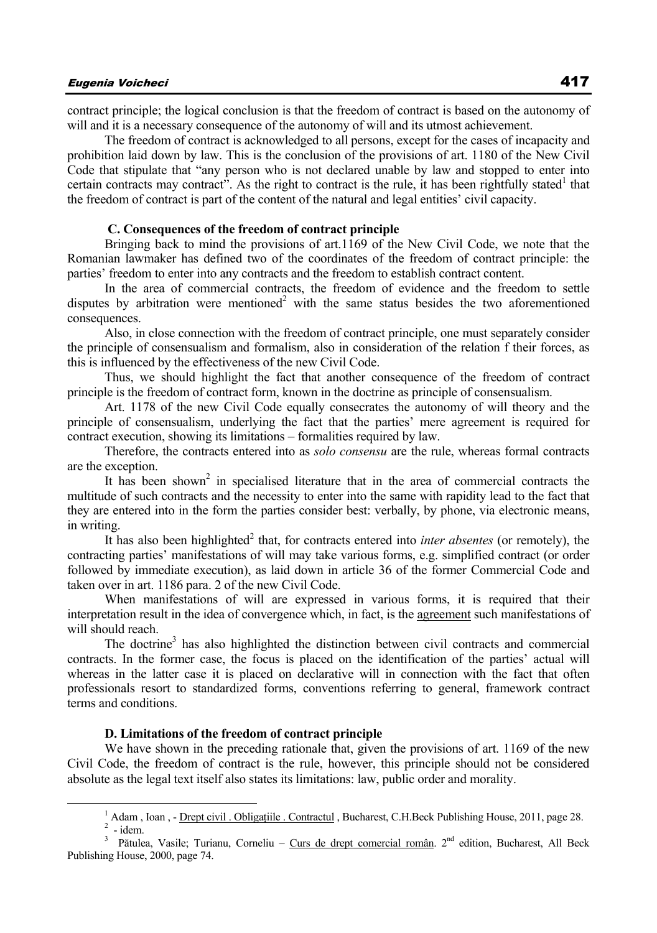contract principle; the logical conclusion is that the freedom of contract is based on the autonomy of will and it is a necessary consequence of the autonomy of will and its utmost achievement.

The freedom of contract is acknowledged to all persons, except for the cases of incapacity and prohibition laid down by law. This is the conclusion of the provisions of art. 1180 of the New Civil Code that stipulate that "any person who is not declared unable by law and stopped to enter into certain contracts may contract". As the right to contract is the rule, it has been rightfully stated<sup>1</sup> that the freedom of contract is part of the content of the natural and legal entities' civil capacity.

#### **C. Consequences of the freedom of contract principle**

Bringing back to mind the provisions of art.1169 of the New Civil Code, we note that the Romanian lawmaker has defined two of the coordinates of the freedom of contract principle: the parties' freedom to enter into any contracts and the freedom to establish contract content.

In the area of commercial contracts, the freedom of evidence and the freedom to settle disputes by arbitration were mentioned<sup>2</sup> with the same status besides the two aforementioned consequences.

Also, in close connection with the freedom of contract principle, one must separately consider the principle of consensualism and formalism, also in consideration of the relation f their forces, as this is influenced by the effectiveness of the new Civil Code.

Thus, we should highlight the fact that another consequence of the freedom of contract principle is the freedom of contract form, known in the doctrine as principle of consensualism.

Art. 1178 of the new Civil Code equally consecrates the autonomy of will theory and the principle of consensualism, underlying the fact that the parties' mere agreement is required for contract execution, showing its limitations – formalities required by law.

Therefore, the contracts entered into as *solo consensu* are the rule, whereas formal contracts are the exception.

It has been shown<sup>2</sup> in specialised literature that in the area of commercial contracts the multitude of such contracts and the necessity to enter into the same with rapidity lead to the fact that they are entered into in the form the parties consider best: verbally, by phone, via electronic means, in writing.

It has also been highlighted<sup>2</sup> that, for contracts entered into *inter absentes* (or remotely), the contracting parties' manifestations of will may take various forms, e.g. simplified contract (or order followed by immediate execution), as laid down in article 36 of the former Commercial Code and taken over in art. 1186 para. 2 of the new Civil Code.

When manifestations of will are expressed in various forms, it is required that their interpretation result in the idea of convergence which, in fact, is the agreement such manifestations of will should reach.

The doctrine<sup>3</sup> has also highlighted the distinction between civil contracts and commercial contracts. In the former case, the focus is placed on the identification of the parties' actual will whereas in the latter case it is placed on declarative will in connection with the fact that often professionals resort to standardized forms, conventions referring to general, framework contract terms and conditions.

#### **D. Limitations of the freedom of contract principle**

We have shown in the preceding rationale that, given the provisions of art. 1169 of the new Civil Code, the freedom of contract is the rule, however, this principle should not be considered absolute as the legal text itself also states its limitations: law, public order and morality.

 $2$  - idem.

 $\frac{1}{1}$ <sup>1</sup> Adam, Ioan, - Drept civil . Obligatiile . Contractul, Bucharest, C.H.Beck Publishing House, 2011, page 28.

<sup>&</sup>lt;sup>3</sup> Pătulea, Vasile; Turianu, Corneliu – Curs de drept comercial român. 2<sup>nd</sup> edition, Bucharest, All Beck Publishing House, 2000, page 74.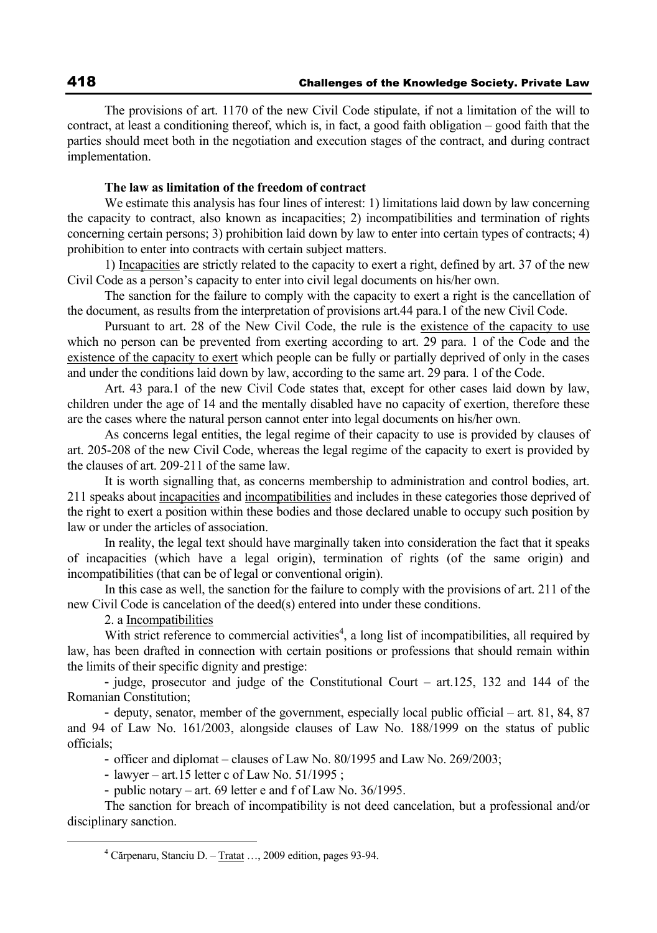The provisions of art. 1170 of the new Civil Code stipulate, if not a limitation of the will to contract, at least a conditioning thereof, which is, in fact, a good faith obligation – good faith that the parties should meet both in the negotiation and execution stages of the contract, and during contract implementation.

## **The law as limitation of the freedom of contract**

We estimate this analysis has four lines of interest: 1) limitations laid down by law concerning the capacity to contract, also known as incapacities; 2) incompatibilities and termination of rights concerning certain persons; 3) prohibition laid down by law to enter into certain types of contracts; 4) prohibition to enter into contracts with certain subject matters.

1) Incapacities are strictly related to the capacity to exert a right, defined by art. 37 of the new Civil Code as a person's capacity to enter into civil legal documents on his/her own.

The sanction for the failure to comply with the capacity to exert a right is the cancellation of the document, as results from the interpretation of provisions art.44 para.1 of the new Civil Code.

Pursuant to art. 28 of the New Civil Code, the rule is the existence of the capacity to use which no person can be prevented from exerting according to art. 29 para. 1 of the Code and the existence of the capacity to exert which people can be fully or partially deprived of only in the cases and under the conditions laid down by law, according to the same art. 29 para. 1 of the Code.

Art. 43 para.1 of the new Civil Code states that, except for other cases laid down by law, children under the age of 14 and the mentally disabled have no capacity of exertion, therefore these are the cases where the natural person cannot enter into legal documents on his/her own.

As concerns legal entities, the legal regime of their capacity to use is provided by clauses of art. 205-208 of the new Civil Code, whereas the legal regime of the capacity to exert is provided by the clauses of art. 209-211 of the same law.

It is worth signalling that, as concerns membership to administration and control bodies, art. 211 speaks about incapacities and incompatibilities and includes in these categories those deprived of the right to exert a position within these bodies and those declared unable to occupy such position by law or under the articles of association.

In reality, the legal text should have marginally taken into consideration the fact that it speaks of incapacities (which have a legal origin), termination of rights (of the same origin) and incompatibilities (that can be of legal or conventional origin).

In this case as well, the sanction for the failure to comply with the provisions of art. 211 of the new Civil Code is cancelation of the deed(s) entered into under these conditions.

2. a Incompatibilities

With strict reference to commercial activities<sup>4</sup>, a long list of incompatibilities, all required by law, has been drafted in connection with certain positions or professions that should remain within the limits of their specific dignity and prestige:

- judge, prosecutor and judge of the Constitutional Court – art.125, 132 and 144 of the Romanian Constitution;

- deputy, senator, member of the government, especially local public official – art. 81, 84, 87 and 94 of Law No. 161/2003, alongside clauses of Law No. 188/1999 on the status of public officials;

- officer and diplomat – clauses of Law No. 80/1995 and Law No. 269/2003;

- lawyer – art.15 letter c of Law No. 51/1995 ;

- public notary – art. 69 letter e and f of Law No. 36/1995.

The sanction for breach of incompatibility is not deed cancelation, but a professional and/or disciplinary sanction.

 $\frac{1}{4}$ Cărpenaru, Stanciu D. – Tratat …, 2009 edition, pages 93-94.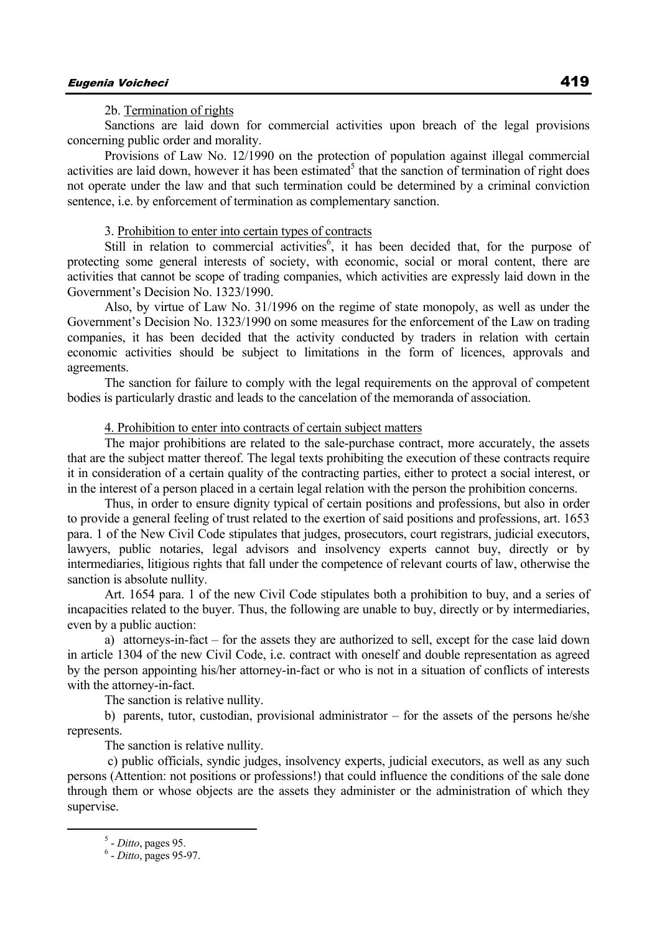2b. Termination of rights

Sanctions are laid down for commercial activities upon breach of the legal provisions concerning public order and morality.

Provisions of Law No. 12/1990 on the protection of population against illegal commercial activities are laid down, however it has been estimated<sup>5</sup> that the sanction of termination of right does not operate under the law and that such termination could be determined by a criminal conviction sentence, i.e. by enforcement of termination as complementary sanction.

#### 3. Prohibition to enter into certain types of contracts

Still in relation to commercial activities<sup>6</sup>, it has been decided that, for the purpose of protecting some general interests of society, with economic, social or moral content, there are activities that cannot be scope of trading companies, which activities are expressly laid down in the Government's Decision No. 1323/1990.

Also, by virtue of Law No. 31/1996 on the regime of state monopoly, as well as under the Government's Decision No. 1323/1990 on some measures for the enforcement of the Law on trading companies, it has been decided that the activity conducted by traders in relation with certain economic activities should be subject to limitations in the form of licences, approvals and agreements.

The sanction for failure to comply with the legal requirements on the approval of competent bodies is particularly drastic and leads to the cancelation of the memoranda of association.

#### 4. Prohibition to enter into contracts of certain subject matters

The major prohibitions are related to the sale-purchase contract, more accurately, the assets that are the subject matter thereof. The legal texts prohibiting the execution of these contracts require it in consideration of a certain quality of the contracting parties, either to protect a social interest, or in the interest of a person placed in a certain legal relation with the person the prohibition concerns.

Thus, in order to ensure dignity typical of certain positions and professions, but also in order to provide a general feeling of trust related to the exertion of said positions and professions, art. 1653 para. 1 of the New Civil Code stipulates that judges, prosecutors, court registrars, judicial executors, lawyers, public notaries, legal advisors and insolvency experts cannot buy, directly or by intermediaries, litigious rights that fall under the competence of relevant courts of law, otherwise the sanction is absolute nullity.

Art. 1654 para. 1 of the new Civil Code stipulates both a prohibition to buy, and a series of incapacities related to the buyer. Thus, the following are unable to buy, directly or by intermediaries, even by a public auction:

a) attorneys-in-fact – for the assets they are authorized to sell, except for the case laid down in article 1304 of the new Civil Code, i.e. contract with oneself and double representation as agreed by the person appointing his/her attorney-in-fact or who is not in a situation of conflicts of interests with the attorney-in-fact.

The sanction is relative nullity.

b) parents, tutor, custodian, provisional administrator – for the assets of the persons he/she represents.

The sanction is relative nullity.

 c) public officials, syndic judges, insolvency experts, judicial executors, as well as any such persons (Attention: not positions or professions!) that could influence the conditions of the sale done through them or whose objects are the assets they administer or the administration of which they supervise.

 $rac{1}{5}$  $<sup>5</sup>$  - *Ditto*, pages 95.</sup>

 <sup>-</sup> *Ditto*, pages 95-97.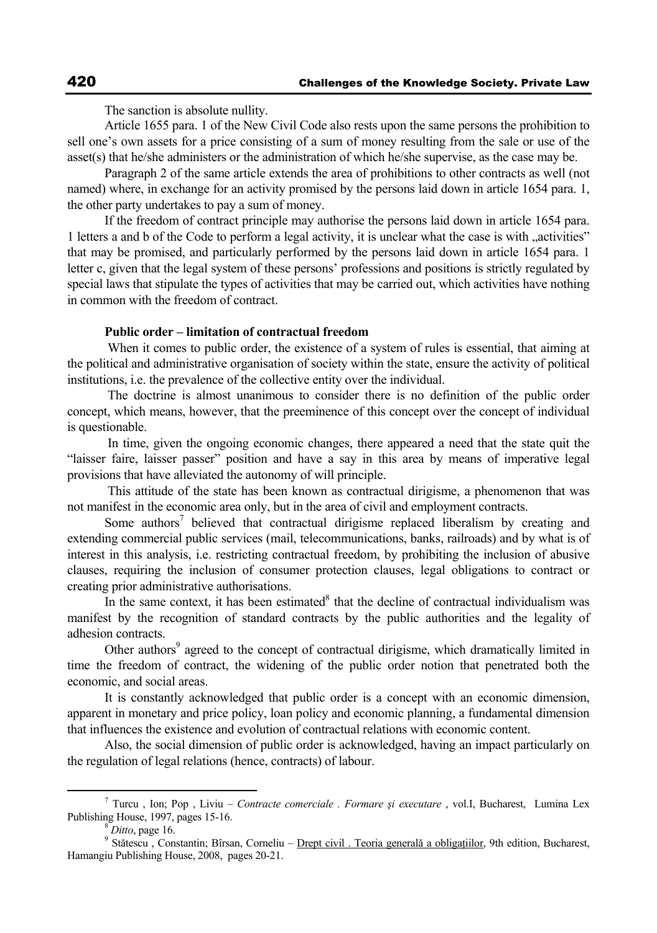The sanction is absolute nullity.

Article 1655 para. 1 of the New Civil Code also rests upon the same persons the prohibition to sell one's own assets for a price consisting of a sum of money resulting from the sale or use of the asset(s) that he/she administers or the administration of which he/she supervise, as the case may be.

Paragraph 2 of the same article extends the area of prohibitions to other contracts as well (not named) where, in exchange for an activity promised by the persons laid down in article 1654 para. 1, the other party undertakes to pay a sum of money.

If the freedom of contract principle may authorise the persons laid down in article 1654 para. 1 letters a and b of the Code to perform a legal activity, it is unclear what the case is with "activities" that may be promised, and particularly performed by the persons laid down in article 1654 para. 1 letter c, given that the legal system of these persons' professions and positions is strictly regulated by special laws that stipulate the types of activities that may be carried out, which activities have nothing in common with the freedom of contract.

### **Public order – limitation of contractual freedom**

 When it comes to public order, the existence of a system of rules is essential, that aiming at the political and administrative organisation of society within the state, ensure the activity of political institutions, i.e. the prevalence of the collective entity over the individual.

 The doctrine is almost unanimous to consider there is no definition of the public order concept, which means, however, that the preeminence of this concept over the concept of individual is questionable.

 In time, given the ongoing economic changes, there appeared a need that the state quit the "laisser faire, laisser passer" position and have a say in this area by means of imperative legal provisions that have alleviated the autonomy of will principle.

 This attitude of the state has been known as contractual dirigisme, a phenomenon that was not manifest in the economic area only, but in the area of civil and employment contracts.

Some authors<sup>7</sup> believed that contractual dirigisme replaced liberalism by creating and extending commercial public services (mail, telecommunications, banks, railroads) and by what is of interest in this analysis, i.e. restricting contractual freedom, by prohibiting the inclusion of abusive clauses, requiring the inclusion of consumer protection clauses, legal obligations to contract or creating prior administrative authorisations.

In the same context, it has been estimated $8$  that the decline of contractual individualism was manifest by the recognition of standard contracts by the public authorities and the legality of adhesion contracts.

Other authors<sup>9</sup> agreed to the concept of contractual dirigisme, which dramatically limited in time the freedom of contract, the widening of the public order notion that penetrated both the economic, and social areas.

It is constantly acknowledged that public order is a concept with an economic dimension, apparent in monetary and price policy, loan policy and economic planning, a fundamental dimension that influences the existence and evolution of contractual relations with economic content.

Also, the social dimension of public order is acknowledged, having an impact particularly on the regulation of legal relations (hence, contracts) of labour.

 <sup>7</sup> Turcu , Ion; Pop , Liviu – *Contracte comerciale . Formare şi executare* , vol.I, Bucharest, Lumina Lex Publishing House, 1997, pages 15-16.<br><sup>8</sup> *Ditto*, page 16.

<sup>&</sup>lt;sup>9</sup> Stătescu , Constantin; Bîrsan, Corneliu – Drept civil . Teoria generală a obligațiilor, 9th edition, Bucharest, Hamangiu Publishing House, 2008, pages 20-21.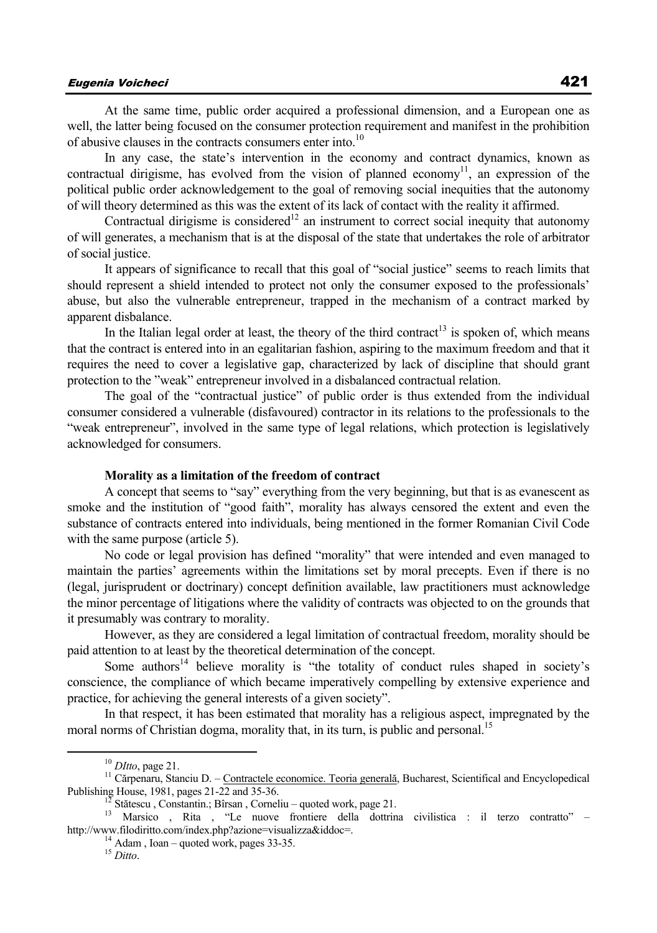## Eugenia Voicheci 421

At the same time, public order acquired a professional dimension, and a European one as well, the latter being focused on the consumer protection requirement and manifest in the prohibition of abusive clauses in the contracts consumers enter into  $10$ 

In any case, the state's intervention in the economy and contract dynamics, known as contractual dirigisme, has evolved from the vision of planned economy<sup>11</sup>, an expression of the political public order acknowledgement to the goal of removing social inequities that the autonomy of will theory determined as this was the extent of its lack of contact with the reality it affirmed.

Contractual dirigisme is considered<sup>12</sup> an instrument to correct social inequity that autonomy of will generates, a mechanism that is at the disposal of the state that undertakes the role of arbitrator of social justice.

It appears of significance to recall that this goal of "social justice" seems to reach limits that should represent a shield intended to protect not only the consumer exposed to the professionals' abuse, but also the vulnerable entrepreneur, trapped in the mechanism of a contract marked by apparent disbalance.

In the Italian legal order at least, the theory of the third contract<sup>13</sup> is spoken of, which means that the contract is entered into in an egalitarian fashion, aspiring to the maximum freedom and that it requires the need to cover a legislative gap, characterized by lack of discipline that should grant protection to the "weak" entrepreneur involved in a disbalanced contractual relation.

The goal of the "contractual justice" of public order is thus extended from the individual consumer considered a vulnerable (disfavoured) contractor in its relations to the professionals to the "weak entrepreneur", involved in the same type of legal relations, which protection is legislatively acknowledged for consumers.

#### **Morality as a limitation of the freedom of contract**

A concept that seems to "say" everything from the very beginning, but that is as evanescent as smoke and the institution of "good faith", morality has always censored the extent and even the substance of contracts entered into individuals, being mentioned in the former Romanian Civil Code with the same purpose (article 5).

No code or legal provision has defined "morality" that were intended and even managed to maintain the parties' agreements within the limitations set by moral precepts. Even if there is no (legal, jurisprudent or doctrinary) concept definition available, law practitioners must acknowledge the minor percentage of litigations where the validity of contracts was objected to on the grounds that it presumably was contrary to morality.

However, as they are considered a legal limitation of contractual freedom, morality should be paid attention to at least by the theoretical determination of the concept.

Some authors<sup>14</sup> believe morality is "the totality of conduct rules shaped in society's conscience, the compliance of which became imperatively compelling by extensive experience and practice, for achieving the general interests of a given society".

In that respect, it has been estimated that morality has a religious aspect, impregnated by the moral norms of Christian dogma, morality that, in its turn, is public and personal.<sup>15</sup>

<sup>&</sup>lt;sup>10</sup> *DItto*, page 21. <sup>11</sup> Cărpenaru, Stanciu D. – <u>Contractele economice. Teoria generală</u>, Bucharest, Scientifical and Encyclopedical Publishing House, 1981, pages 21-22 and 35-36.

<sup>&</sup>lt;sup>12</sup> Stătescu , Constantin.; Bîrsan , Corneliu – quoted work, page 21.<br><sup>13</sup> Marsico , Rita , "Le nuove frontiere della dottrina civilistica : il terzo contratto" – http://www.filodiritto.com/index.php?azione=visualizza&iddoc=. 14 Adam , Ioan – quoted work, pages 33-35.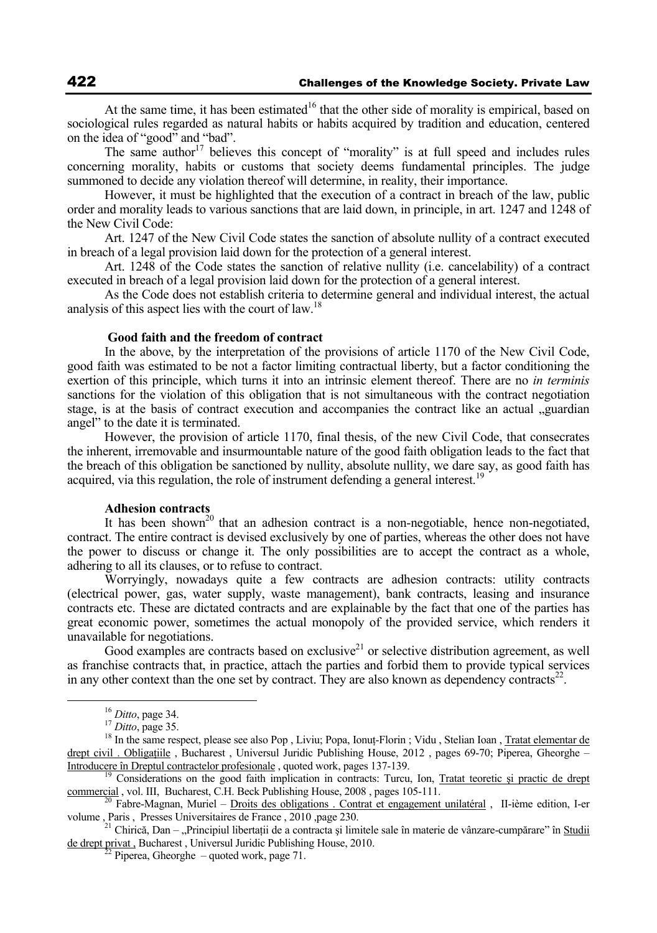At the same time, it has been estimated<sup>16</sup> that the other side of morality is empirical, based on sociological rules regarded as natural habits or habits acquired by tradition and education, centered on the idea of "good" and "bad".

The same author<sup>17</sup> believes this concept of "morality" is at full speed and includes rules concerning morality, habits or customs that society deems fundamental principles. The judge summoned to decide any violation thereof will determine, in reality, their importance.

However, it must be highlighted that the execution of a contract in breach of the law, public order and morality leads to various sanctions that are laid down, in principle, in art. 1247 and 1248 of the New Civil Code:

Art. 1247 of the New Civil Code states the sanction of absolute nullity of a contract executed in breach of a legal provision laid down for the protection of a general interest.

Art. 1248 of the Code states the sanction of relative nullity (i.e. cancelability) of a contract executed in breach of a legal provision laid down for the protection of a general interest.

As the Code does not establish criteria to determine general and individual interest, the actual analysis of this aspect lies with the court of law.<sup>18</sup>

#### **Good faith and the freedom of contract**

In the above, by the interpretation of the provisions of article 1170 of the New Civil Code, good faith was estimated to be not a factor limiting contractual liberty, but a factor conditioning the exertion of this principle, which turns it into an intrinsic element thereof. There are no *in terminis* sanctions for the violation of this obligation that is not simultaneous with the contract negotiation stage, is at the basis of contract execution and accompanies the contract like an actual  $\alpha$  guardian angel" to the date it is terminated.

However, the provision of article 1170, final thesis, of the new Civil Code, that consecrates the inherent, irremovable and insurmountable nature of the good faith obligation leads to the fact that the breach of this obligation be sanctioned by nullity, absolute nullity, we dare say, as good faith has acquired, via this regulation, the role of instrument defending a general interest.<sup>1</sup>

#### **Adhesion contracts**

It has been shown<sup>20</sup> that an adhesion contract is a non-negotiable, hence non-negotiated, contract. The entire contract is devised exclusively by one of parties, whereas the other does not have the power to discuss or change it. The only possibilities are to accept the contract as a whole, adhering to all its clauses, or to refuse to contract.

Worryingly, nowadays quite a few contracts are adhesion contracts: utility contracts (electrical power, gas, water supply, waste management), bank contracts, leasing and insurance contracts etc. These are dictated contracts and are explainable by the fact that one of the parties has great economic power, sometimes the actual monopoly of the provided service, which renders it unavailable for negotiations.

Good examples are contracts based on exclusive<sup>21</sup> or selective distribution agreement, as well as franchise contracts that, in practice, attach the parties and forbid them to provide typical services in any other context than the one set by contract. They are also known as dependency contracts<sup>22</sup>.

<sup>&</sup>lt;sup>16</sup> *Ditto*, page 34.<br><sup>17</sup> *Ditto*, page 35.<br><sup>18</sup> In the same respect, please see also Pop , Liviu; Popa, Ionuţ-Florin ; Vidu , Stelian Ioan , <u>Tratat elementar de</u> drept civil . Obligațiile , Bucharest , Universul Juridic Publishing House, 2012 , pages 69-70; Piperea, Gheorghe – Introducere în Dreptul contractelor profesionale , quoted work, pages 137-139.

<sup>&</sup>lt;sup>19</sup> Considerations on the good faith implication in contracts: Turcu, Ion, <u>Tratat teoretic și practic de drept</u> <u>commercial</u>, vol. III, Bucharest, C.H. Beck Publishing House, 2008, pages 105-111.

 $\overline{a_0}$  Fabre-Magnan, Muriel – Droits des obligations . Contrat et engagement unilatéral , II-ième edition, I-er volume , Paris , Presses Universitaires de France , 2010 ,page 230.<br><sup>21</sup> Chirică, Dan – "Principiul libertații de a contracta și limitele sale în materie de vânzare-cumpărare" în <u>Studii</u>

de drept privat , Bucharest , Universul Juridic Publishing House, 2010.<br><sup>22</sup> Piperea, Gheorghe – quoted work, page 71.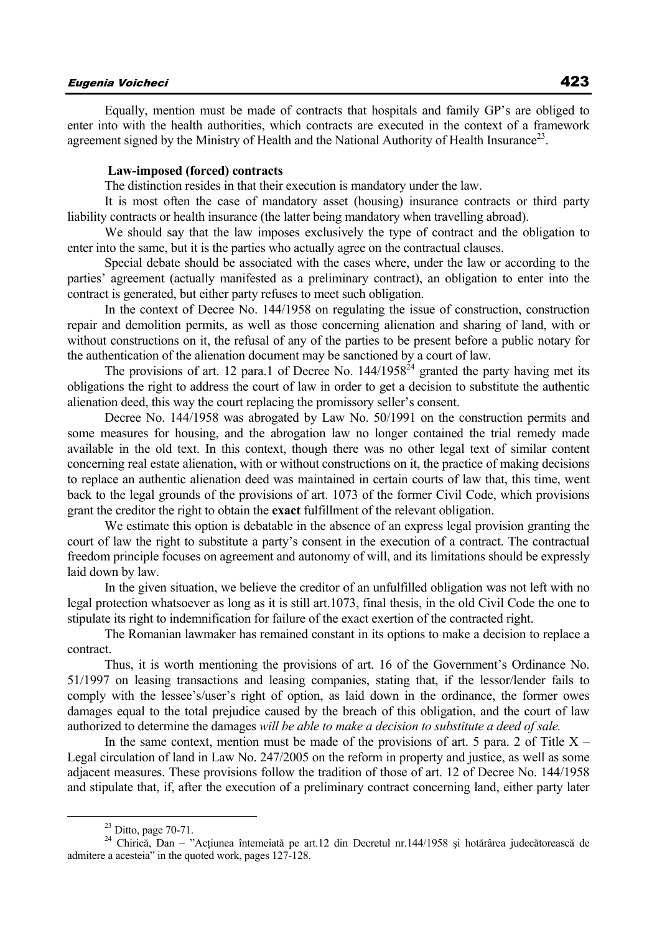## Eugenia Voicheci 423

Equally, mention must be made of contracts that hospitals and family GP's are obliged to enter into with the health authorities, which contracts are executed in the context of a framework agreement signed by the Ministry of Health and the National Authority of Health Insurance<sup>23</sup>.

## **Law-imposed (forced) contracts**

The distinction resides in that their execution is mandatory under the law.

It is most often the case of mandatory asset (housing) insurance contracts or third party liability contracts or health insurance (the latter being mandatory when travelling abroad).

We should say that the law imposes exclusively the type of contract and the obligation to enter into the same, but it is the parties who actually agree on the contractual clauses.

Special debate should be associated with the cases where, under the law or according to the parties' agreement (actually manifested as a preliminary contract), an obligation to enter into the contract is generated, but either party refuses to meet such obligation.

In the context of Decree No. 144/1958 on regulating the issue of construction, construction repair and demolition permits, as well as those concerning alienation and sharing of land, with or without constructions on it, the refusal of any of the parties to be present before a public notary for the authentication of the alienation document may be sanctioned by a court of law.

The provisions of art. 12 para.1 of Decree No.  $144/1958^{24}$  granted the party having met its obligations the right to address the court of law in order to get a decision to substitute the authentic alienation deed, this way the court replacing the promissory seller's consent.

Decree No. 144/1958 was abrogated by Law No. 50/1991 on the construction permits and some measures for housing, and the abrogation law no longer contained the trial remedy made available in the old text. In this context, though there was no other legal text of similar content concerning real estate alienation, with or without constructions on it, the practice of making decisions to replace an authentic alienation deed was maintained in certain courts of law that, this time, went back to the legal grounds of the provisions of art. 1073 of the former Civil Code, which provisions grant the creditor the right to obtain the **exact** fulfillment of the relevant obligation.

We estimate this option is debatable in the absence of an express legal provision granting the court of law the right to substitute a party's consent in the execution of a contract. The contractual freedom principle focuses on agreement and autonomy of will, and its limitations should be expressly laid down by law.

In the given situation, we believe the creditor of an unfulfilled obligation was not left with no legal protection whatsoever as long as it is still art.1073, final thesis, in the old Civil Code the one to stipulate its right to indemnification for failure of the exact exertion of the contracted right.

The Romanian lawmaker has remained constant in its options to make a decision to replace a contract.

Thus, it is worth mentioning the provisions of art. 16 of the Government's Ordinance No. 51/1997 on leasing transactions and leasing companies, stating that, if the lessor/lender fails to comply with the lessee's/user's right of option, as laid down in the ordinance, the former owes damages equal to the total prejudice caused by the breach of this obligation, and the court of law authorized to determine the damages *will be able to make a decision to substitute a deed of sale.*

In the same context, mention must be made of the provisions of art. 5 para. 2 of Title  $X -$ Legal circulation of land in Law No. 247/2005 on the reform in property and justice, as well as some adjacent measures. These provisions follow the tradition of those of art. 12 of Decree No. 144/1958 and stipulate that, if, after the execution of a preliminary contract concerning land, either party later

 $23$  Ditto, page 70-71.

<sup>&</sup>lt;sup>24</sup> Chirică, Dan – "Acțiunea întemeiată pe art.12 din Decretul nr.144/1958 și hotărârea judecătorească de admitere a acesteia" in the quoted work, pages 127-128.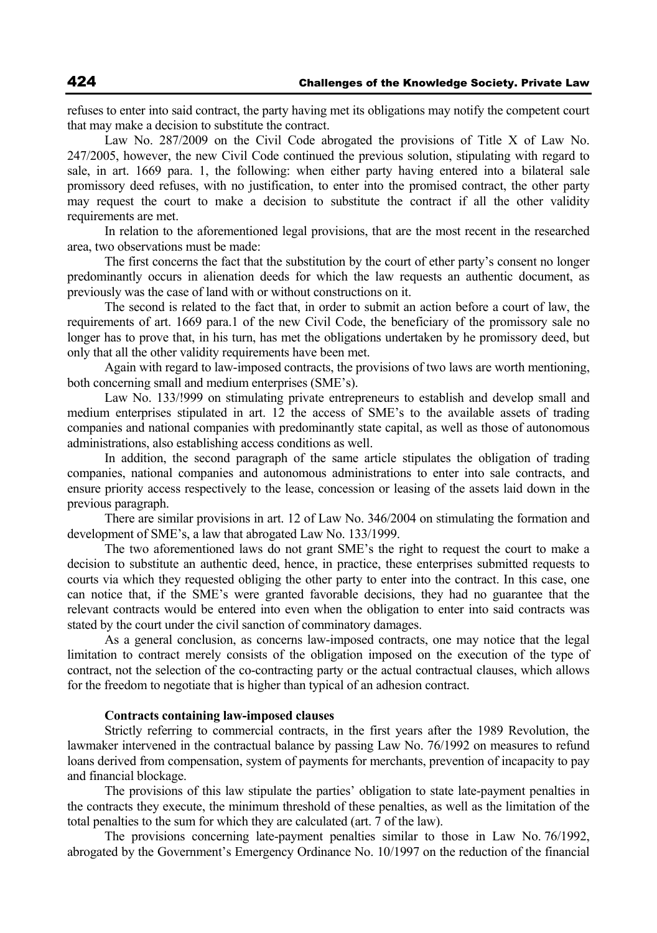refuses to enter into said contract, the party having met its obligations may notify the competent court that may make a decision to substitute the contract.

Law No. 287/2009 on the Civil Code abrogated the provisions of Title X of Law No. 247/2005, however, the new Civil Code continued the previous solution, stipulating with regard to sale, in art. 1669 para. 1, the following: when either party having entered into a bilateral sale promissory deed refuses, with no justification, to enter into the promised contract, the other party may request the court to make a decision to substitute the contract if all the other validity requirements are met.

In relation to the aforementioned legal provisions, that are the most recent in the researched area, two observations must be made:

The first concerns the fact that the substitution by the court of ether party's consent no longer predominantly occurs in alienation deeds for which the law requests an authentic document, as previously was the case of land with or without constructions on it.

The second is related to the fact that, in order to submit an action before a court of law, the requirements of art. 1669 para.1 of the new Civil Code, the beneficiary of the promissory sale no longer has to prove that, in his turn, has met the obligations undertaken by he promissory deed, but only that all the other validity requirements have been met.

Again with regard to law-imposed contracts, the provisions of two laws are worth mentioning, both concerning small and medium enterprises (SME's).

Law No. 133/!999 on stimulating private entrepreneurs to establish and develop small and medium enterprises stipulated in art. 12 the access of SME's to the available assets of trading companies and national companies with predominantly state capital, as well as those of autonomous administrations, also establishing access conditions as well.

In addition, the second paragraph of the same article stipulates the obligation of trading companies, national companies and autonomous administrations to enter into sale contracts, and ensure priority access respectively to the lease, concession or leasing of the assets laid down in the previous paragraph.

There are similar provisions in art. 12 of Law No. 346/2004 on stimulating the formation and development of SME's, a law that abrogated Law No. 133/1999.

The two aforementioned laws do not grant SME's the right to request the court to make a decision to substitute an authentic deed, hence, in practice, these enterprises submitted requests to courts via which they requested obliging the other party to enter into the contract. In this case, one can notice that, if the SME's were granted favorable decisions, they had no guarantee that the relevant contracts would be entered into even when the obligation to enter into said contracts was stated by the court under the civil sanction of comminatory damages.

As a general conclusion, as concerns law-imposed contracts, one may notice that the legal limitation to contract merely consists of the obligation imposed on the execution of the type of contract, not the selection of the co-contracting party or the actual contractual clauses, which allows for the freedom to negotiate that is higher than typical of an adhesion contract.

#### **Contracts containing law-imposed clauses**

Strictly referring to commercial contracts, in the first years after the 1989 Revolution, the lawmaker intervened in the contractual balance by passing Law No. 76/1992 on measures to refund loans derived from compensation, system of payments for merchants, prevention of incapacity to pay and financial blockage.

The provisions of this law stipulate the parties' obligation to state late-payment penalties in the contracts they execute, the minimum threshold of these penalties, as well as the limitation of the total penalties to the sum for which they are calculated (art. 7 of the law).

The provisions concerning late-payment penalties similar to those in Law No. 76/1992, abrogated by the Government's Emergency Ordinance No. 10/1997 on the reduction of the financial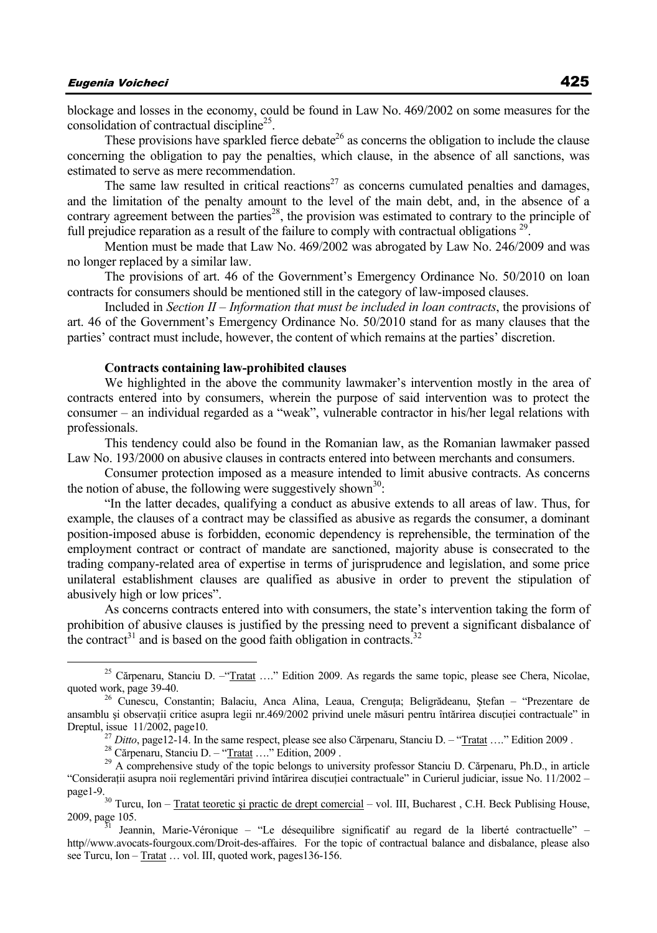blockage and losses in the economy, could be found in Law No. 469/2002 on some measures for the consolidation of contractual discipline<sup>25</sup>.

These provisions have sparkled fierce debate<sup>26</sup> as concerns the obligation to include the clause concerning the obligation to pay the penalties, which clause, in the absence of all sanctions, was estimated to serve as mere recommendation.

The same law resulted in critical reactions<sup>27</sup> as concerns cumulated penalties and damages, and the limitation of the penalty amount to the level of the main debt, and, in the absence of a contrary agreement between the parties<sup>28</sup>, the provision was estimated to contrary to the principle of full prejudice reparation as a result of the failure to comply with contractual obligations<sup>29</sup>.

Mention must be made that Law No. 469/2002 was abrogated by Law No. 246/2009 and was no longer replaced by a similar law.

The provisions of art. 46 of the Government's Emergency Ordinance No. 50/2010 on loan contracts for consumers should be mentioned still in the category of law-imposed clauses.

Included in *Section II – Information that must be included in loan contracts*, the provisions of art. 46 of the Government's Emergency Ordinance No. 50/2010 stand for as many clauses that the parties' contract must include, however, the content of which remains at the parties' discretion.

#### **Contracts containing law-prohibited clauses**

We highlighted in the above the community lawmaker's intervention mostly in the area of contracts entered into by consumers, wherein the purpose of said intervention was to protect the consumer – an individual regarded as a "weak", vulnerable contractor in his/her legal relations with professionals.

This tendency could also be found in the Romanian law, as the Romanian lawmaker passed Law No. 193/2000 on abusive clauses in contracts entered into between merchants and consumers.

Consumer protection imposed as a measure intended to limit abusive contracts. As concerns the notion of abuse, the following were suggestively shown<sup>30</sup>:

"In the latter decades, qualifying a conduct as abusive extends to all areas of law. Thus, for example, the clauses of a contract may be classified as abusive as regards the consumer, a dominant position-imposed abuse is forbidden, economic dependency is reprehensible, the termination of the employment contract or contract of mandate are sanctioned, majority abuse is consecrated to the trading company-related area of expertise in terms of jurisprudence and legislation, and some price unilateral establishment clauses are qualified as abusive in order to prevent the stipulation of abusively high or low prices".

As concerns contracts entered into with consumers, the state's intervention taking the form of prohibition of abusive clauses is justified by the pressing need to prevent a significant disbalance of the contract<sup>31</sup> and is based on the good faith obligation in contracts.<sup>32</sup>

<sup>&</sup>lt;sup>25</sup> Cărpenaru, Stanciu D. – "Tratat ...." Edition 2009. As regards the same topic, please see Chera, Nicolae, quoted work, page 39-40.

<sup>&</sup>lt;sup>26</sup> Cunescu, Constantin; Balaciu, Anca Alina, Leaua, Crenguța; Beligrădeanu, Ștefan – "Prezentare de ansamblu și observații critice asupra legii nr.469/2002 privind unele măsuri pentru întărirea discuției contractuale" in Dreptul, issue 11/2002, page10.<br><sup>27</sup> Ditto, page12-14. In the same respect, please see also Cărpenaru, Stanciu D. – "Tratat ...." Edition 2009.<br><sup>28</sup> Cărpenaru, Stanciu D. – "Tratat ...." Edition, 2009.<br><sup>29</sup> A comprehensive

<sup>&</sup>quot;Consideraţii asupra noii reglementări privind întărirea discuţiei contractuale" in Curierul judiciar, issue No. 11/2002 – page1-9.<br><sup>30</sup> Turcu, Ion – Tratat teoretic și practic de drept comercial – vol. III, Bucharest, C.H. Beck Publising House,

<sup>2009,</sup> page 105.<br><sup>31</sup> Jeannin, Marie-Véronique – "Le désequilibre significatif au regard de la liberté contractuelle" –

http//www.avocats-fourgoux.com/Droit-des-affaires. For the topic of contractual balance and disbalance, please also see Turcu, Ion – Tratat ... vol. III, quoted work, pages136-156.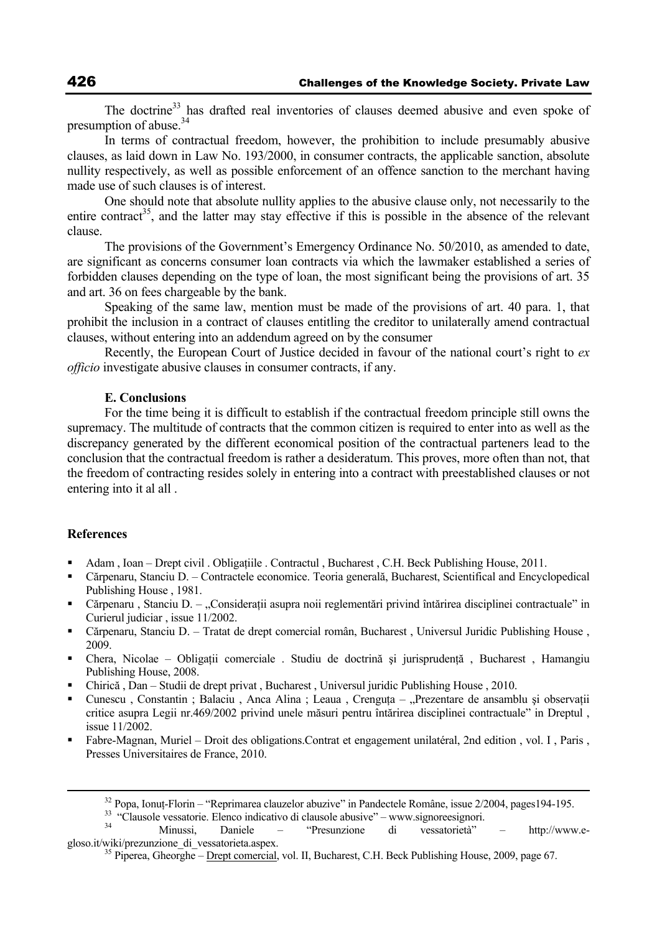The doctrine<sup>33</sup> has drafted real inventories of clauses deemed abusive and even spoke of presumption of abuse.<sup>34</sup>

In terms of contractual freedom, however, the prohibition to include presumably abusive clauses, as laid down in Law No. 193/2000, in consumer contracts, the applicable sanction, absolute nullity respectively, as well as possible enforcement of an offence sanction to the merchant having made use of such clauses is of interest.

One should note that absolute nullity applies to the abusive clause only, not necessarily to the entire contract<sup>35</sup>, and the latter may stay effective if this is possible in the absence of the relevant clause.

The provisions of the Government's Emergency Ordinance No. 50/2010, as amended to date, are significant as concerns consumer loan contracts via which the lawmaker established a series of forbidden clauses depending on the type of loan, the most significant being the provisions of art. 35 and art. 36 on fees chargeable by the bank.

Speaking of the same law, mention must be made of the provisions of art. 40 para. 1, that prohibit the inclusion in a contract of clauses entitling the creditor to unilaterally amend contractual clauses, without entering into an addendum agreed on by the consumer

Recently, the European Court of Justice decided in favour of the national court's right to *ex officio* investigate abusive clauses in consumer contracts, if any.

#### **E. Conclusions**

For the time being it is difficult to establish if the contractual freedom principle still owns the supremacy. The multitude of contracts that the common citizen is required to enter into as well as the discrepancy generated by the different economical position of the contractual parteners lead to the conclusion that the contractual freedom is rather a desideratum. This proves, more often than not, that the freedom of contracting resides solely in entering into a contract with preestablished clauses or not entering into it al all .

### **References**

- Adam , Ioan Drept civil . Obligaţiile . Contractul , Bucharest , C.H. Beck Publishing House, 2011.
- Cărpenaru, Stanciu D. Contractele economice. Teoria generală, Bucharest, Scientifical and Encyclopedical Publishing House , 1981.
- Cărpenaru , Stanciu D. "Considerații asupra noii reglementări privind întărirea disciplinei contractuale" in Curierul judiciar , issue 11/2002.
- Cărpenaru, Stanciu D. Tratat de drept comercial român, Bucharest , Universul Juridic Publishing House , 2009.
- Chera, Nicolae Obligaţii comerciale . Studiu de doctrină şi jurisprudenţă , Bucharest , Hamangiu Publishing House, 2008.
- Chirică , Dan Studii de drept privat , Bucharest , Universul juridic Publishing House , 2010.
- Cunescu, Constantin ; Balaciu, Anca Alina ; Leaua, Crenguta "Prezentare de ansamblu și observatii critice asupra Legii nr.469/2002 privind unele măsuri pentru întărirea disciplinei contractuale" in Dreptul , issue 11/2002.
- Fabre-Magnan, Muriel Droit des obligations.Contrat et engagement unilatéral, 2nd edition , vol. I , Paris , Presses Universitaires de France, 2010.

<sup>&</sup>lt;sup>32</sup> Popa, Ionuț-Florin – "Reprimarea clauzelor abuzive" in Pandectele Române, issue 2/2004, pages 194-195.<br><sup>33</sup> "Clausole vessatorie. Elenco indicativo di clausole abusive" – www.signoreesignori.<br><sup>34</sup> "Clausole vessatori

gloso.it/wiki/prezunzione\_di\_vessatorieta.aspex. 35 Piperea, Gheorghe – Drept comercial, vol. II, Bucharest, C.H. Beck Publishing House, 2009, page 67.